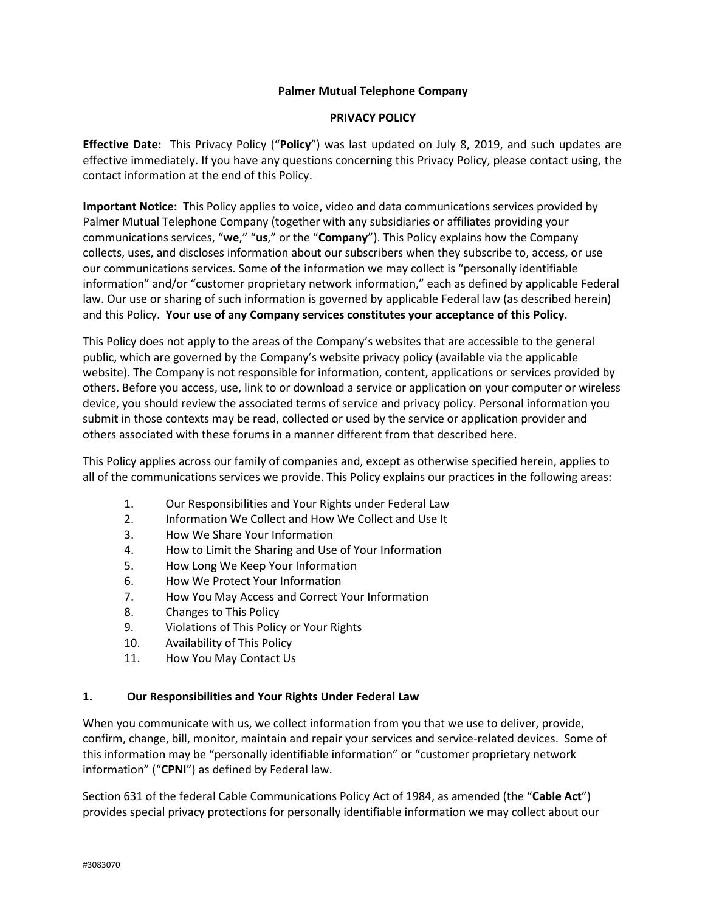## **Palmer Mutual Telephone Company**

## **PRIVACY POLICY**

**Effective Date:** This Privacy Policy ("**Policy**") was last updated on July 8, 2019, and such updates are effective immediately. If you have any questions concerning this Privacy Policy, please contact using, the contact information at the end of this Policy.

**Important Notice:** This Policy applies to voice, video and data communications services provided by Palmer Mutual Telephone Company (together with any subsidiaries or affiliates providing your communications services, "**we**," "**us**," or the "**Company**"). This Policy explains how the Company collects, uses, and discloses information about our subscribers when they subscribe to, access, or use our communications services. Some of the information we may collect is "personally identifiable information" and/or "customer proprietary network information," each as defined by applicable Federal law. Our use or sharing of such information is governed by applicable Federal law (as described herein) and this Policy. **Your use of any Company services constitutes your acceptance of this Policy**.

This Policy does not apply to the areas of the Company's websites that are accessible to the general public, which are governed by the Company's website privacy policy (available via the applicable website). The Company is not responsible for information, content, applications or services provided by others. Before you access, use, link to or download a service or application on your computer or wireless device, you should review the associated terms of service and privacy policy. Personal information you submit in those contexts may be read, collected or used by the service or application provider and others associated with these forums in a manner different from that described here.

This Policy applies across our family of companies and, except as otherwise specified herein, applies to all of the communications services we provide. This Policy explains our practices in the following areas:

- 1. Our Responsibilities and Your Rights under Federal Law
- 2. Information We Collect and How We Collect and Use It
- 3. How We Share Your Information
- 4. How to Limit the Sharing and Use of Your Information
- 5. How Long We Keep Your Information
- 6. How We Protect Your Information
- 7. How You May Access and Correct Your Information
- 8. Changes to This Policy
- 9. Violations of This Policy or Your Rights
- 10. Availability of This Policy
- 11. How You May Contact Us

# **1. Our Responsibilities and Your Rights Under Federal Law**

When you communicate with us, we collect information from you that we use to deliver, provide, confirm, change, bill, monitor, maintain and repair your services and service-related devices. Some of this information may be "personally identifiable information" or "customer proprietary network information" ("**CPNI**") as defined by Federal law.

Section 631 of the federal Cable Communications Policy Act of 1984, as amended (the "**Cable Act**") provides special privacy protections for personally identifiable information we may collect about our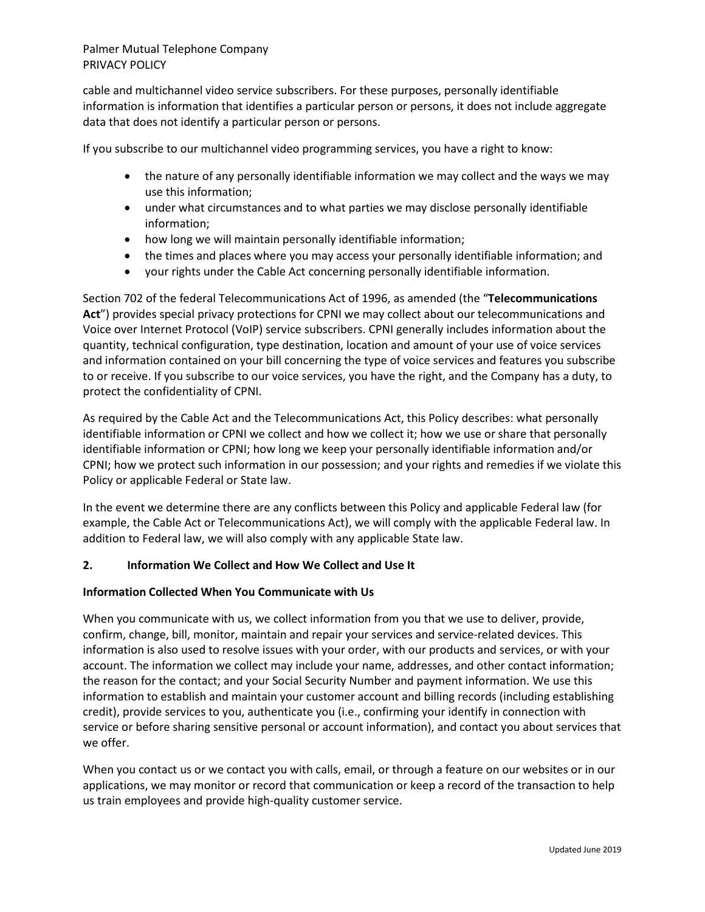cable and multichannel video service subscribers. For these purposes, personally identifiable information is information that identifies a particular person or persons, it does not include aggregate data that does not identify a particular person or persons.

If you subscribe to our multichannel video programming services, you have a right to know:

- the nature of any personally identifiable information we may collect and the ways we may use this information;
- under what circumstances and to what parties we may disclose personally identifiable information;
- how long we will maintain personally identifiable information;
- the times and places where you may access your personally identifiable information; and
- your rights under the Cable Act concerning personally identifiable information.

Section 702 of the federal Telecommunications Act of 1996, as amended (the "**Telecommunications Act**") provides special privacy protections for CPNI we may collect about our telecommunications and Voice over Internet Protocol (VoIP) service subscribers. CPNI generally includes information about the quantity, technical configuration, type destination, location and amount of your use of voice services and information contained on your bill concerning the type of voice services and features you subscribe to or receive. If you subscribe to our voice services, you have the right, and the Company has a duty, to protect the confidentiality of CPNI.

As required by the Cable Act and the Telecommunications Act, this Policy describes: what personally identifiable information or CPNI we collect and how we collect it; how we use or share that personally identifiable information or CPNI; how long we keep your personally identifiable information and/or CPNI; how we protect such information in our possession; and your rights and remedies if we violate this Policy or applicable Federal or State law.

In the event we determine there are any conflicts between this Policy and applicable Federal law (for example, the Cable Act or Telecommunications Act), we will comply with the applicable Federal law. In addition to Federal law, we will also comply with any applicable State law.

### **2. Information We Collect and How We Collect and Use It**

### **Information Collected When You Communicate with Us**

When you communicate with us, we collect information from you that we use to deliver, provide, confirm, change, bill, monitor, maintain and repair your services and service-related devices. This information is also used to resolve issues with your order, with our products and services, or with your account. The information we collect may include your name, addresses, and other contact information; the reason for the contact; and your Social Security Number and payment information. We use this information to establish and maintain your customer account and billing records (including establishing credit), provide services to you, authenticate you (i.e., confirming your identify in connection with service or before sharing sensitive personal or account information), and contact you about services that we offer.

When you contact us or we contact you with calls, email, or through a feature on our websites or in our applications, we may monitor or record that communication or keep a record of the transaction to help us train employees and provide high-quality customer service.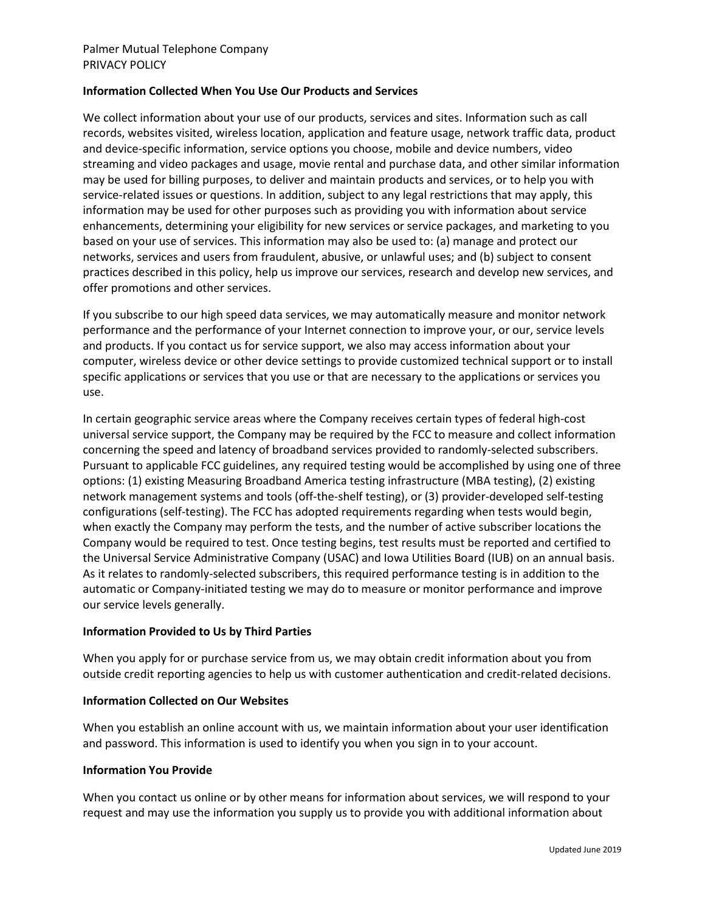## **Information Collected When You Use Our Products and Services**

We collect information about your use of our products, services and sites. Information such as call records, websites visited, wireless location, application and feature usage, network traffic data, product and device-specific information, service options you choose, mobile and device numbers, video streaming and video packages and usage, movie rental and purchase data, and other similar information may be used for billing purposes, to deliver and maintain products and services, or to help you with service-related issues or questions. In addition, subject to any legal restrictions that may apply, this information may be used for other purposes such as providing you with information about service enhancements, determining your eligibility for new services or service packages, and marketing to you based on your use of services. This information may also be used to: (a) manage and protect our networks, services and users from fraudulent, abusive, or unlawful uses; and (b) subject to consent practices described in this policy, help us improve our services, research and develop new services, and offer promotions and other services.

If you subscribe to our high speed data services, we may automatically measure and monitor network performance and the performance of your Internet connection to improve your, or our, service levels and products. If you contact us for service support, we also may access information about your computer, wireless device or other device settings to provide customized technical support or to install specific applications or services that you use or that are necessary to the applications or services you use.

In certain geographic service areas where the Company receives certain types of federal high-cost universal service support, the Company may be required by the FCC to measure and collect information concerning the speed and latency of broadband services provided to randomly-selected subscribers. Pursuant to applicable FCC guidelines, any required testing would be accomplished by using one of three options: (1) existing Measuring Broadband America testing infrastructure (MBA testing), (2) existing network management systems and tools (off-the-shelf testing), or (3) provider-developed self-testing configurations (self-testing). The FCC has adopted requirements regarding when tests would begin, when exactly the Company may perform the tests, and the number of active subscriber locations the Company would be required to test. Once testing begins, test results must be reported and certified to the Universal Service Administrative Company (USAC) and Iowa Utilities Board (IUB) on an annual basis. As it relates to randomly-selected subscribers, this required performance testing is in addition to the automatic or Company-initiated testing we may do to measure or monitor performance and improve our service levels generally.

### **Information Provided to Us by Third Parties**

When you apply for or purchase service from us, we may obtain credit information about you from outside credit reporting agencies to help us with customer authentication and credit-related decisions.

# **Information Collected on Our Websites**

When you establish an online account with us, we maintain information about your user identification and password. This information is used to identify you when you sign in to your account.

### **Information You Provide**

When you contact us online or by other means for information about services, we will respond to your request and may use the information you supply us to provide you with additional information about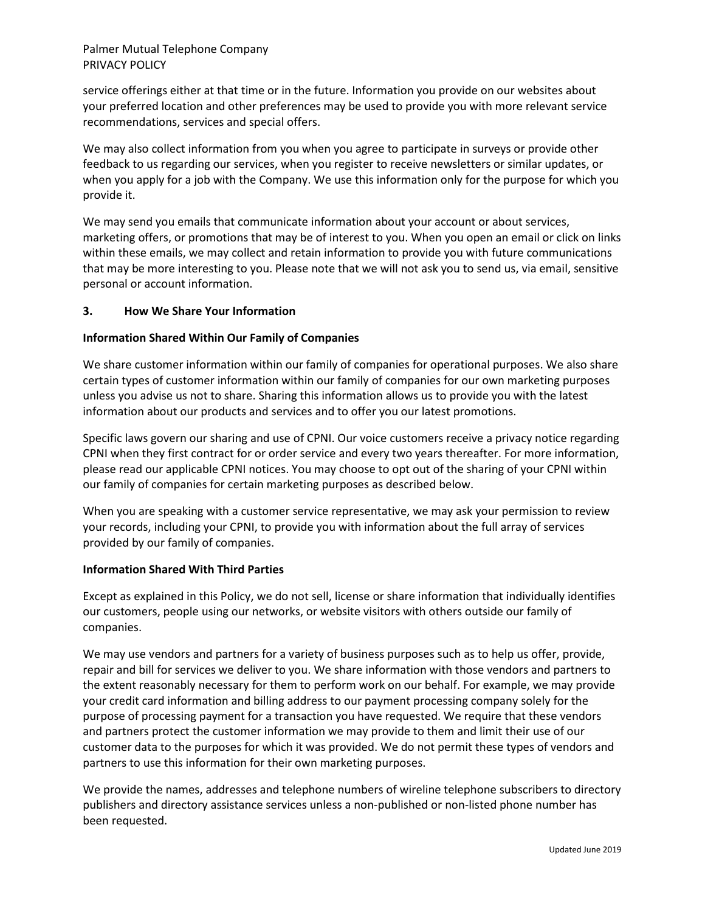service offerings either at that time or in the future. Information you provide on our websites about your preferred location and other preferences may be used to provide you with more relevant service recommendations, services and special offers.

We may also collect information from you when you agree to participate in surveys or provide other feedback to us regarding our services, when you register to receive newsletters or similar updates, or when you apply for a job with the Company. We use this information only for the purpose for which you provide it.

We may send you emails that communicate information about your account or about services, marketing offers, or promotions that may be of interest to you. When you open an email or click on links within these emails, we may collect and retain information to provide you with future communications that may be more interesting to you. Please note that we will not ask you to send us, via email, sensitive personal or account information.

## **3. How We Share Your Information**

## **Information Shared Within Our Family of Companies**

We share customer information within our family of companies for operational purposes. We also share certain types of customer information within our family of companies for our own marketing purposes unless you advise us not to share. Sharing this information allows us to provide you with the latest information about our products and services and to offer you our latest promotions.

Specific laws govern our sharing and use of CPNI. Our voice customers receive a privacy notice regarding CPNI when they first contract for or order service and every two years thereafter. For more information, please read our applicable CPNI notices. You may choose to opt out of the sharing of your CPNI within our family of companies for certain marketing purposes as described below.

When you are speaking with a customer service representative, we may ask your permission to review your records, including your CPNI, to provide you with information about the full array of services provided by our family of companies.

## **Information Shared With Third Parties**

Except as explained in this Policy, we do not sell, license or share information that individually identifies our customers, people using our networks, or website visitors with others outside our family of companies.

We may use vendors and partners for a variety of business purposes such as to help us offer, provide, repair and bill for services we deliver to you. We share information with those vendors and partners to the extent reasonably necessary for them to perform work on our behalf. For example, we may provide your credit card information and billing address to our payment processing company solely for the purpose of processing payment for a transaction you have requested. We require that these vendors and partners protect the customer information we may provide to them and limit their use of our customer data to the purposes for which it was provided. We do not permit these types of vendors and partners to use this information for their own marketing purposes.

We provide the names, addresses and telephone numbers of wireline telephone subscribers to directory publishers and directory assistance services unless a non-published or non-listed phone number has been requested.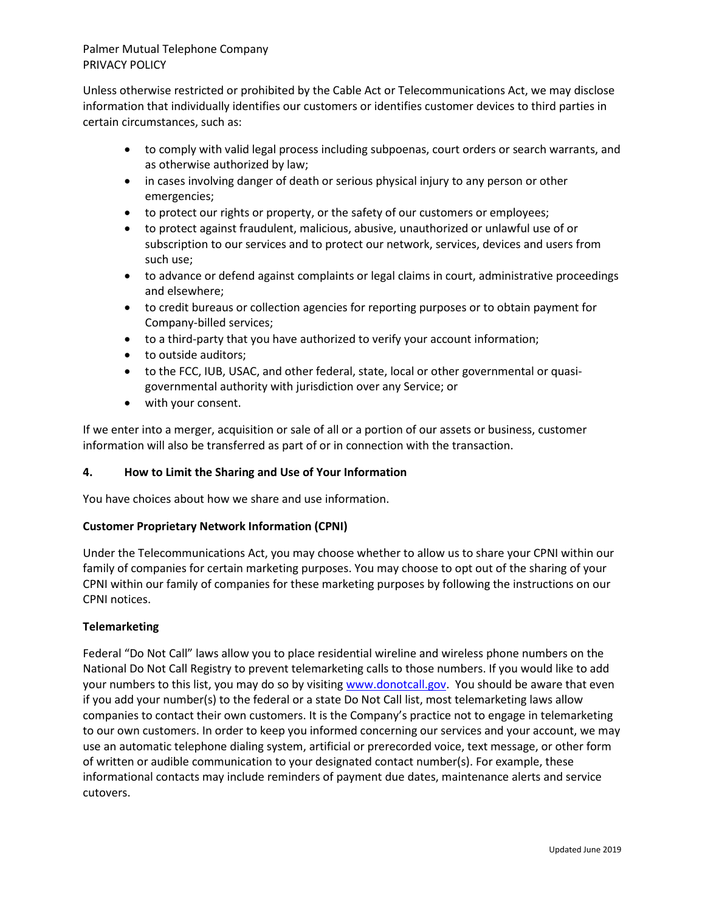Unless otherwise restricted or prohibited by the Cable Act or Telecommunications Act, we may disclose information that individually identifies our customers or identifies customer devices to third parties in certain circumstances, such as:

- to comply with valid legal process including subpoenas, court orders or search warrants, and as otherwise authorized by law;
- in cases involving danger of death or serious physical injury to any person or other emergencies;
- to protect our rights or property, or the safety of our customers or employees;
- to protect against fraudulent, malicious, abusive, unauthorized or unlawful use of or subscription to our services and to protect our network, services, devices and users from such use;
- to advance or defend against complaints or legal claims in court, administrative proceedings and elsewhere;
- to credit bureaus or collection agencies for reporting purposes or to obtain payment for Company-billed services;
- to a third-party that you have authorized to verify your account information;
- to outside auditors;
- to the FCC, IUB, USAC, and other federal, state, local or other governmental or quasigovernmental authority with jurisdiction over any Service; or
- with your consent.

If we enter into a merger, acquisition or sale of all or a portion of our assets or business, customer information will also be transferred as part of or in connection with the transaction.

# **4. How to Limit the Sharing and Use of Your Information**

You have choices about how we share and use information.

# **Customer Proprietary Network Information (CPNI)**

Under the Telecommunications Act, you may choose whether to allow us to share your CPNI within our family of companies for certain marketing purposes. You may choose to opt out of the sharing of your CPNI within our family of companies for these marketing purposes by following the instructions on our CPNI notices.

# **Telemarketing**

Federal "Do Not Call" laws allow you to place residential wireline and wireless phone numbers on the National Do Not Call Registry to prevent telemarketing calls to those numbers. If you would like to add your numbers to this list, you may do so by visitin[g www.donotcall.gov.](http://www.donotcall.gov/) You should be aware that even if you add your number(s) to the federal or a state Do Not Call list, most telemarketing laws allow companies to contact their own customers. It is the Company's practice not to engage in telemarketing to our own customers. In order to keep you informed concerning our services and your account, we may use an automatic telephone dialing system, artificial or prerecorded voice, text message, or other form of written or audible communication to your designated contact number(s). For example, these informational contacts may include reminders of payment due dates, maintenance alerts and service cutovers.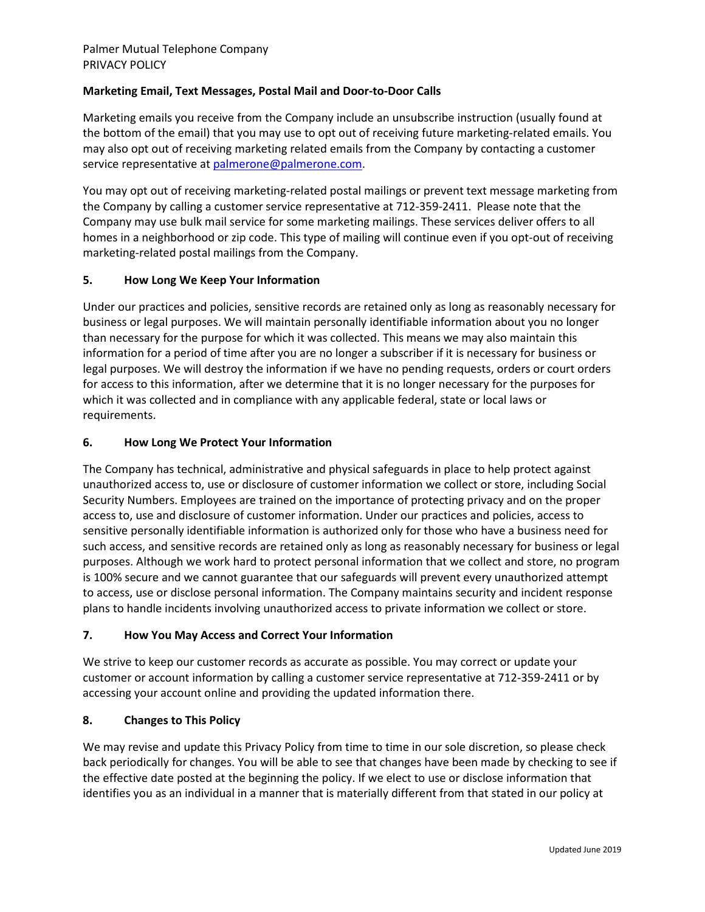# **Marketing Email, Text Messages, Postal Mail and Door-to-Door Calls**

Marketing emails you receive from the Company include an unsubscribe instruction (usually found at the bottom of the email) that you may use to opt out of receiving future marketing-related emails. You may also opt out of receiving marketing related emails from the Company by contacting a customer service representative at [palmerone@palmerone.com.](mailto:palmerone@palmerone.com)

You may opt out of receiving marketing-related postal mailings or prevent text message marketing from the Company by calling a customer service representative at 712-359-2411. Please note that the Company may use bulk mail service for some marketing mailings. These services deliver offers to all homes in a neighborhood or zip code. This type of mailing will continue even if you opt-out of receiving marketing-related postal mailings from the Company.

# **5. How Long We Keep Your Information**

Under our practices and policies, sensitive records are retained only as long as reasonably necessary for business or legal purposes. We will maintain personally identifiable information about you no longer than necessary for the purpose for which it was collected. This means we may also maintain this information for a period of time after you are no longer a subscriber if it is necessary for business or legal purposes. We will destroy the information if we have no pending requests, orders or court orders for access to this information, after we determine that it is no longer necessary for the purposes for which it was collected and in compliance with any applicable federal, state or local laws or requirements.

## **6. How Long We Protect Your Information**

The Company has technical, administrative and physical safeguards in place to help protect against unauthorized access to, use or disclosure of customer information we collect or store, including Social Security Numbers. Employees are trained on the importance of protecting privacy and on the proper access to, use and disclosure of customer information. Under our practices and policies, access to sensitive personally identifiable information is authorized only for those who have a business need for such access, and sensitive records are retained only as long as reasonably necessary for business or legal purposes. Although we work hard to protect personal information that we collect and store, no program is 100% secure and we cannot guarantee that our safeguards will prevent every unauthorized attempt to access, use or disclose personal information. The Company maintains security and incident response plans to handle incidents involving unauthorized access to private information we collect or store.

# **7. How You May Access and Correct Your Information**

We strive to keep our customer records as accurate as possible. You may correct or update your customer or account information by calling a customer service representative at 712-359-2411 or by accessing your account online and providing the updated information there.

# **8. Changes to This Policy**

We may revise and update this Privacy Policy from time to time in our sole discretion, so please check back periodically for changes. You will be able to see that changes have been made by checking to see if the effective date posted at the beginning the policy. If we elect to use or disclose information that identifies you as an individual in a manner that is materially different from that stated in our policy at